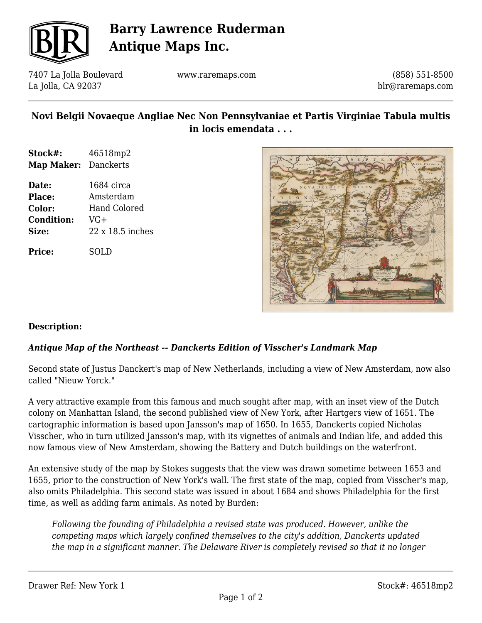

## **Barry Lawrence Ruderman Antique Maps Inc.**

7407 La Jolla Boulevard La Jolla, CA 92037

www.raremaps.com

(858) 551-8500 blr@raremaps.com

### **Novi Belgii Novaeque Angliae Nec Non Pennsylvaniae et Partis Virginiae Tabula multis in locis emendata . . .**

- **Stock#:** 46518mp2 **Map Maker:** Danckerts
- **Date:** 1684 circa **Place:** Amsterdam **Color:** Hand Colored **Condition:** VG+ **Size:** 22 x 18.5 inches

**Price:** SOLD



#### **Description:**

### *Antique Map of the Northeast -- Danckerts Edition of Visscher's Landmark Map*

Second state of Justus Danckert's map of New Netherlands, including a view of New Amsterdam, now also called "Nieuw Yorck."

A very attractive example from this famous and much sought after map, with an inset view of the Dutch colony on Manhattan Island, the second published view of New York, after Hartgers view of 1651. The cartographic information is based upon Jansson's map of 1650. In 1655, Danckerts copied Nicholas Visscher, who in turn utilized Jansson's map, with its vignettes of animals and Indian life, and added this now famous view of New Amsterdam, showing the Battery and Dutch buildings on the waterfront.

An extensive study of the map by Stokes suggests that the view was drawn sometime between 1653 and 1655, prior to the construction of New York's wall. The first state of the map, copied from Visscher's map, also omits Philadelphia. This second state was issued in about 1684 and shows Philadelphia for the first time, as well as adding farm animals. As noted by Burden:

*Following the founding of Philadelphia a revised state was produced. However, unlike the competing maps which largely confined themselves to the city's addition, Danckerts updated the map in a significant manner. The Delaware River is completely revised so that it no longer*